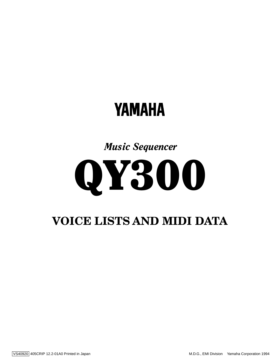# **YAMAHA**

*Music Sequencer*



## **VOICE LISTS AND MIDI DATA**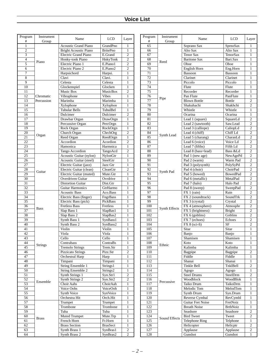| Program<br>$\#$ | Instrument<br>Group | Name                         | $LCD$           | Layer            | Program<br>$\#$ | Instrument<br>Group | Name                     | <b>LCD</b>      | Layer            |
|-----------------|---------------------|------------------------------|-----------------|------------------|-----------------|---------------------|--------------------------|-----------------|------------------|
| $\mathbf{1}$    |                     | <b>Acoustic Grand Piano</b>  | GrandPno        | 1                | 65              |                     | Soprano Sax              | SprnoSax        | 1                |
| $\overline{c}$  |                     | <b>Bright Acoustic Piano</b> | <b>BritePno</b> | $\mathbf{1}$     | 66              |                     | Alto Sax                 | Alto Sax        | 1                |
| 3               |                     | Electric Grand Piano         | E.Grand         | $\mathfrak{2}$   | 67              |                     | <b>Tenor Sax</b>         | TenorSax        | $\mathbf{1}$     |
| $\overline{4}$  |                     | Honky-tonk Piano             | HnkyTonk        | $\mathfrak{2}$   | 68              |                     | <b>Baritone Sax</b>      | Bari.Sax        | 1                |
| 5               | Piano               | Electric Piano 1             | E.Piano1        | $\mathfrak{2}$   | 69              | Reed                | Oboe                     | Oboe            | $\mathbf{1}$     |
| 6               |                     | Electric Piano 2             | E.Piano2        | $\mathfrak{2}$   | 70              |                     | English Horn             | Eng.Horn        | $\mathbf{1}$     |
| 7               |                     | Harpsichord                  | Harpsi.         | $\mathbf{1}$     | $\overline{71}$ |                     | Bassoon                  | Bassoon         | 1                |
| 8               |                     | Clavi                        | Clavi.          | $\mathbf{1}$     | $\overline{72}$ |                     | Clarinet                 | Clarinet        | $\mathbf{1}$     |
| 9               |                     | Celesta                      | Celesta         | $\mathbf{1}$     | 73              |                     | Piccolo                  | Piccolo         | $\mathbf{1}$     |
| 10              |                     | Glockenspiel                 | Glocken         | $\mathbf{1}$     | $\overline{74}$ |                     | Flute                    | Flute           | 1                |
| 11              |                     | Music Box                    | MusicBox        | $\mathfrak{2}$   | $\overline{75}$ |                     | Recorder                 | Recorder        | 1                |
| 12              | Chromatic           | Vibraphone                   | <b>Vibes</b>    | $\mathbf{1}$     | 76              |                     | Pan Flute                | PanFlute        | $\mathbf{1}$     |
| $\overline{13}$ | Percussion          | Marimba                      | Marimba         | $\mathbf{1}$     | $\overline{77}$ | Pipe                | <b>Blown Bottle</b>      | <b>Bottle</b>   | $\overline{2}$   |
| 14              |                     | Xylophone                    | Xylophon        | $\mathbf{1}$     | 78              |                     | Shakuhachi               | Shakhchi        | $\overline{c}$   |
| 15              |                     | <b>Tubular Bells</b>         | TubulBel        | $\mathbf{1}$     | 79              |                     | Whistle                  | Whistle         | $\mathbf{1}$     |
| 16              |                     | Dulcimer                     | Dulcimer        | $\mathfrak{2}$   | 80              |                     | Ocarina                  | Ocarina         | 1                |
| $\overline{17}$ |                     | Drawbar Organ                | DrawOrgn        | $\mathbf{1}$     | 81              |                     | Lead 1 (square)          | SquareLd        | $\overline{c}$   |
| 18              |                     | Percussive Organ             | PercOrgn        | $\mathbf{1}$     | 82              |                     | Lead 2 (sawtooth)        | Saw.Lead        | $\mathfrak{2}$   |
| 19              |                     | Rock Organ                   | RockOrgn        | $\mathbf{1}$     | 83              |                     | Lead 3 (calliope)        | CaliopLd        | $\overline{2}$   |
| 20              | Organ               | Church Organ                 | ChrchOrg        | $\mathfrak{2}$   | 84              | Synth Lead          | Lead 4 (chiff)           | Chiff Ld        | $\overline{2}$   |
| 21              |                     | Reed Organ                   | ReedOrgn        | $\mathbf{1}$     | 85              |                     | Lead 5 (charang)         | CharanLd        | $\overline{2}$   |
| $\overline{22}$ |                     | Accordion                    | Acordion        | $\mathfrak{2}$   | 86              |                     | Lead 6 (voice)           | Voice Ld        | $\overline{2}$   |
| 23              |                     | Hamonica                     | Harmnica        | $\mathbf{1}$     | 87              |                     | Lead 7 (fifths)          | Fifth Ld        | $\mathfrak{2}$   |
| 24              |                     | Tango Accordion              | TangoAcd        | $\mathbf{2}$     | 88              |                     | Lead 8 (bass+lead)       | Bass &Ld        | $\overline{2}$   |
| $\overline{25}$ |                     | Acoustic Guitar (nylon)      | NylonGtr        | $\mathbf{1}$     | 89              |                     | Pad 1 (new age)          | NewAgePd        | $\overline{2}$   |
| 26              |                     | Acoustic Guitar (steel)      | SteelGtr        | $\mathbf{1}$     | 90              |                     | Pad 2 (warm)             | Warm Pad        | $\overline{c}$   |
| 27              |                     | Electric Guitar (jazz)       | Jazz Gtr        | $\mathbf{1}$     | 91              |                     | Pad 3 (polysynth)        | PolySyPd        | $\mathfrak{2}$   |
| $\overline{28}$ | Guitar              | Electric Guitar (clean)      | CleanGtr        | $\mathfrak{2}$   | 92              | Synth Pad           | Pad 4 (choir)            | ChoirPad        | $\overline{2}$   |
| $\overline{29}$ |                     | Electric Guitar (muted)      | Mute.Gtr        | $\mathbf{1}$     | 93              |                     | Pad 5 (bowed)            | <b>BowedPad</b> | $\overline{2}$   |
| 30              |                     | Overdriven Guitar            | Ovrdrive        | $\mathbf{1}$     | 94              |                     | Pad 6 (metallic)         | MetalPad        | $\overline{2}$   |
| $\overline{31}$ |                     | <b>Distortion Guitar</b>     | Dist.Gtr        | $\mathbf{1}$     | 95              |                     | Pad 7 (halo)             | Halo Pad        | $\overline{2}$   |
| $\overline{32}$ |                     | <b>Guitar Harmonics</b>      | GtrHarmo        | $\mathbf{1}$     | 96              |                     | Pad 8 (sweep)            | SweepPad        | $\mathfrak{2}$   |
| 33              |                     | <b>Acoustic Bass</b>         | Aco.Bass        | $\mathbf{1}$     | 97              |                     | FX 1 (rain)              | Rain            | $\overline{c}$   |
| $\overline{34}$ |                     | Electric Bass (finger)       | FngrBass        | $\mathbf{1}$     | 98              |                     | FX 2 (soundtrack)        | SoundTrk        | $\overline{2}$   |
| 35              |                     | Electric Bass (pick)         | PickBass        | $\mathbf{1}$     | 99              |                     | FX 3 (crystal)           | Crystal         | $\overline{c}$   |
| 36              | <b>Bass</b>         | <b>Fretless Bass</b>         | Fretless        | $\mathbf{1}$     | 100             | Synth Effects       | FX 4 (atmosphere)        | Atmosphr        | $\mathfrak{2}$   |
| $\overline{37}$ |                     | Slap Bass 1                  | SlapBas1        | $\mathbf{1}$     | 101             |                     | FX 5 (brightness)        | Bright          | $\overline{2}$   |
| 38              |                     | Slap Bass 2                  | SlapBas2        | $\mathbf{1}$     | 102             |                     | FX 6 (goblins)           | Goblins         | $\overline{2}$   |
| 39              |                     | Synth Bass 1                 | SynBass1        | $\mathbf{1}$     | 103             |                     | FX 7 (echoes)            | Echoes          | $\overline{c}$   |
| 40              |                     | Synth Bass 2                 | SynBass2        | $\mathbf{1}$     | 104             |                     | $FX 8 (sci-fi)$          | <b>SF</b>       | 2                |
| 41              |                     | Violin                       | Violin          | $\mathbf{1}$     | 105             |                     | Sitar                    | Sitar           | $\mathbf{1}$     |
| 42              |                     | Viola                        | Viola           | $\mathbf{1}$     | 106             |                     | Banjo                    | Banjo           | $\mathbf{1}$     |
| 43              |                     | Cello                        | Cello           | $\mathbf{1}$     | 107             |                     | Shamisen                 | Shamisen        | 1                |
| 44              | <b>Strings</b>      | Contrabass                   | ContraBs        | $\mathbf{1}$     | 108             | Ethnic              | Koto                     | Koto            | 1                |
| 45              |                     | <b>Tremolo Strings</b>       | Trem.Str        | $\mathbf{1}$     | 109             |                     | Kalimba                  | Kalimba         | $\mathbf{1}$     |
| 46              |                     | Pizzicato Strings            | Pizz.Str        | $\boldsymbol{2}$ | 110             |                     | Bagpipe                  | Bagpipe         | $\overline{c}$   |
| 47              |                     | Orchestral Harp              | Harp            | $\mathbf{1}$     | 111             |                     | Fiddle                   | Fiddle          | $\mathbf{1}$     |
| 48              |                     | Timpani                      | Timpani         | $\mathbf{1}$     | 112             |                     | Shanai                   | Shanai          | $\mathbf{1}$     |
| 49              |                     | <b>String Ensemble 1</b>     | Strings1        | $\mathbf{1}$     | 113             |                     | Tinkle Bell              | TnklBell        | 2                |
| 50              |                     | <b>String Ensemble 2</b>     | Strings2        | $\mathbf{1}$     | 114             |                     | Agogo                    | Agogo           | $\mathbf{1}$     |
| 51              |                     | Synth Strings 1              | Syn.Str1        | $\mathbf{2}$     | 115             |                     | <b>Steel Drums</b>       | SteelDrm        | $\overline{2}$   |
| $\overline{52}$ | Ensemble            | Synth Strings 2              | Syn.Str2        | $\overline{c}$   | 116             | Percussive          | Woodblock                | <b>WoodBlok</b> | 1                |
| 53              |                     | Choir Aahs                   | ChoirAah        | $\mathbf{1}$     | 117             |                     | Taiko Drum               | TaikoDrm        | 1                |
| 54              |                     | Voice Oohs                   | VoiceOoh        | $\mathbf{1}$     | 118             |                     | Melodic Tom              | MelodTom        | $\mathbf{1}$     |
| $\overline{55}$ |                     | Synth Voice                  | SynVoice        | $\mathbf{1}$     | 119             |                     | Synth Drum               | Syn.Drum        | 1                |
| 56              |                     | Orchestra Hit                | Orch.Hit        | $\mathbf{1}$     | 120             |                     | Reverse Cymbal           | RevCymbl        | $\mathbf{1}$     |
| 57              |                     | Trumpet                      | Trumpet         | $\mathbf{1}$     | 121             |                     | <b>Guitar Fret Noise</b> | FretNoiz        | 1                |
| 58              |                     | Trombone                     | Trombone        | $\mathbf{1}$     | 122             |                     | <b>Breath Noise</b>      | <b>BrthNoiz</b> | 1                |
| 59              |                     | Tuba                         | Tuba            | $\mathbf{1}$     | 123             |                     | Seashore                 | Seashore        | $\boldsymbol{2}$ |
| 60              | <b>Brass</b>        | Muted Trumpet                | Mute.Trp        | $\mathbf{1}$     | 124             | Sound Effects       | <b>Bird Tweet</b>        | Tweet           | $\overline{2}$   |
| 61              |                     | French Horn                  | Fr.Horn         | $\mathbf{1}$     | 125             |                     | <b>Telephone Ring</b>    | Telphone        | $\mathbf{1}$     |
| 62              |                     | <b>Brass Section</b>         | <b>BrasSect</b> | $\mathbf{1}$     | 126             |                     | Helicopter               | Helicptr        | $\overline{c}$   |
| 63              |                     | Synth Brass 1                | SynBras1        | $\boldsymbol{2}$ | 127             |                     | Applause                 | Applause        | $\overline{c}$   |
| 64              |                     | Synth Brass 2                | SynBras2        | $\mathbf{2}$     | 128             |                     | Gunshot                  | Gunshot         | 1                |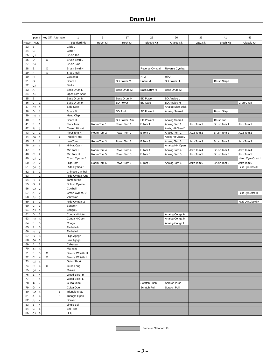|          | pgm#                                    |         | Key Off Alternate | $\mathbf{1}$                    | 9          | 17              | 25              | 26                 | 33         | 41                | 49                |
|----------|-----------------------------------------|---------|-------------------|---------------------------------|------------|-----------------|-----------------|--------------------|------------|-------------------|-------------------|
| Note#    | Note                                    |         |                   | Standard Kit                    | Room Kit   | Rock Kit        | Electro Kit     | Analog Kit         | Jazz Kit   | <b>Brush Kit</b>  | Classic Kit       |
| 23       | В                                       |         |                   | Click L                         |            |                 |                 |                    |            |                   |                   |
| 24       | $\mathsf C$                             |         |                   | Click H                         |            |                 |                 |                    |            |                   |                   |
| 25       | Сŧ                                      |         |                   | Brush Tap                       |            |                 |                 |                    |            |                   |                   |
| 26       | D                                       | O       |                   | Brush Swirl L                   |            |                 |                 |                    |            |                   |                   |
| 27       | Dŧ                                      |         |                   | <b>Brush Slap</b>               |            |                 |                 |                    |            |                   |                   |
| 28       | Е                                       | O       |                   | Brush Swirl H                   |            |                 | Reverse Cymbal  | Reverse Cymbal     |            |                   |                   |
| 29       | F                                       | $\circ$ |                   | Snare Roll                      |            |                 |                 |                    |            |                   |                   |
| 30       | Fŧ                                      |         |                   | Castanet                        |            |                 | Hi Q            | Hi Q               |            |                   |                   |
| 31       | G                                       |         |                   | Snare L                         |            | SD Power M      | Snare M         | SD Power H         |            | Brush Slap L      |                   |
| 32       | Gŧ                                      |         |                   | <b>Sticks</b>                   |            |                 |                 |                    |            |                   |                   |
| 33<br>34 | Α<br>Aŧ                                 |         |                   | Bass Drum L<br>Open Rim Shot    |            | Bass Drum M     | Bass Drum H     | Bass Drum M        |            |                   |                   |
| 35       | в                                       |         |                   | Bass Drum M                     |            | Bass Drum H     | <b>BD Power</b> | <b>BD Analog L</b> |            |                   |                   |
| 36       | C<br>$\mathbf{1}$                       |         |                   | Bass Drum H                     |            | <b>BD</b> Power | <b>BD</b> Gate  | <b>BD Analog H</b> |            |                   | Gran Casa         |
| 37       | Сŧ<br>$\mathbf{1}$                      |         |                   | Side Stick                      |            |                 |                 | Analog Side Stick  |            |                   |                   |
| 38       | D<br>$\mathbf{1}$                       |         |                   | Snare M                         |            | SD Rock         | SD Power L      | Analog Snare L     |            | <b>Brush Slap</b> |                   |
| 39       | Dŧ<br>$\mathbf{1}$                      |         |                   | Hand Clap                       |            |                 |                 |                    |            |                   |                   |
| 40       | Ε<br>$\mathbf{1}$                       |         |                   | Snare H                         |            | SD Power Rim    | SD Power H      | Analog Snare H     |            | <b>Brush Tap</b>  |                   |
| 41       | F<br>$\mathbf{1}$                       |         |                   | Floor Tom L                     | Room Tom 1 | Power Tom 1     | E Tom 1         | Analog Tom 1       | Jazz Tom 1 | Brush Tom 1       | Jazz Tom 1        |
| 42       | Fŧ<br>$\mathbf{1}$                      |         | $\mathbf{1}$      | Closed Hi Hat                   |            |                 |                 | Analog HH Closed 1 |            |                   |                   |
| 43       | G<br>$\mathbf{1}$                       |         |                   | Floor Tom H                     | Room Tom 2 | Power Tom 2     | E Tom 2         | Analog Tom 2       | Jazz Tom 2 | Brush Tom 2       | Jazz Tom 2        |
| 44       | Gŧ<br>$\mathbf{1}$                      |         | $\mathbf{1}$      | Pedal Hi-Hat                    |            |                 |                 | Analog HH Closed 2 |            |                   |                   |
| 45       | $\mathbf{1}$<br>Α                       |         |                   | Low Tom                         | Room Tom 3 | Power Tom 3     | E Tom 3         | Analog Tom 3       | Jazz Tom 3 | Brush Tom 3       | Jazz Tom 3        |
| 46       | A‡<br>$\mathbf{1}$                      |         | $\mathbf{1}$      | Hi-Hat Open                     |            |                 |                 | Analog HH Open     |            |                   |                   |
| 47       | В<br>$\mathbf{1}$                       |         |                   | Mid Tom L                       | Room Tom 4 | Power Tom 4     | E Tom 4         | Analog Tom 4       | Jazz Tom 4 | Brush Tom 4       | Jazz Tom 4        |
| 48       | C<br>$\overline{\mathbf{c}}$            |         |                   | Mid Tom H                       | Room Tom 5 | Power Tom 5     | E Tom 5         | Analog Tom 5       | Jazz Tom 5 | Brush Tom 5       | Jazz Tom 5        |
| 49       | Сŧ<br>$\sqrt{2}$                        |         |                   | Crash Cymbal 1                  |            |                 |                 |                    |            |                   | Hand Cym.Open L   |
| 50       | $\sqrt{2}$<br>D                         |         |                   | High Tom                        | Room Tom 6 | Power Tom 6     | E Tom 6         | Analog Tom 6       | Jazz Tom 6 | Brush Tom 6       | Jazz Tom 6        |
| 51<br>52 | D:<br>$\sqrt{2}$<br>Ε<br>$\sqrt{2}$     |         |                   | Ride Cymbal 1<br>Chinese Cymbal |            |                 |                 |                    |            |                   | Hand Cym.Closed L |
| 53       | F<br>$\mathbf 2$                        |         |                   | Ride Cymbal Cup                 |            |                 |                 |                    |            |                   |                   |
| 54       | $\mathbf 2$<br>Fŧ                       |         |                   | Tambourine                      |            |                 |                 |                    |            |                   |                   |
| 55       | G<br>$\sqrt{2}$                         |         |                   | Splash Cymbal                   |            |                 |                 |                    |            |                   |                   |
| 56       | Gŧ<br>$\sqrt{2}$                        |         |                   | Cowbell                         |            |                 |                 |                    |            |                   |                   |
| 57       | $\sqrt{2}$<br>А                         |         |                   | Crash Cymbal 2                  |            |                 |                 |                    |            |                   | Hand Cym.Open H   |
| 58       | $\sqrt{2}$<br>Aŧ                        |         |                   | Vibraslap                       |            |                 |                 |                    |            |                   |                   |
| 59       | В<br>$\overline{c}$                     |         |                   | Ride Cymbal 2                   |            |                 |                 |                    |            |                   | Hand Cym.Closed H |
| 60       | C<br>3                                  |         |                   | Bongo H                         |            |                 |                 |                    |            |                   |                   |
| 61       | Сŧ<br>3                                 |         |                   | Bongo L                         |            |                 |                 |                    |            |                   |                   |
| 62       | D<br>3                                  |         |                   | Conga H Mute                    |            |                 |                 | Analog Conga H     |            |                   |                   |
| 63       | $\mathsf 3$<br>Dŧ                       |         |                   | Conga H Open                    |            |                 |                 | Analog Conga M     |            |                   |                   |
| 64       | E<br>$\mathbf 3$                        |         |                   | Conga L                         |            |                 |                 | Analog Conga L     |            |                   |                   |
| 65<br>66 | $\mathbf 3$<br>F.<br>3<br>Fŧ            |         |                   | Timbale H<br>Timbale L          |            |                 |                 |                    |            |                   |                   |
| 67       | 3<br>G                                  |         |                   | High Agogo                      |            |                 |                 |                    |            |                   |                   |
| 68       | G#<br>$\overline{\mathbf{3}}$           |         |                   | Low Agogo                       |            |                 |                 |                    |            |                   |                   |
| 69       | A<br>3                                  |         |                   | Cabassa                         |            |                 |                 |                    |            |                   |                   |
| 70       | A‡<br>$\mathbf 3$                       |         |                   | Maracas                         |            |                 |                 |                    |            |                   |                   |
| 71       | B<br>3                                  | O       |                   | Samba Whistle H                 |            |                 |                 |                    |            |                   |                   |
| 72       | C<br>4                                  | $\circ$ |                   | Samba Whistle L                 |            |                 |                 |                    |            |                   |                   |
| 73       | Сŧ<br>$\overline{4}$                    |         |                   | Guiro Short                     |            |                 |                 |                    |            |                   |                   |
| 74       | D<br>4                                  | O       |                   | Guiro Long                      |            |                 |                 |                    |            |                   |                   |
| 75       | D‡<br>$\sqrt{4}$                        |         |                   | Claves                          |            |                 |                 |                    |            |                   |                   |
| 76       | l E<br>$\sqrt{4}$                       |         |                   | Wood Block H                    |            |                 |                 |                    |            |                   |                   |
| 77       | F<br>$\sqrt{4}$                         |         |                   | Wood Block L                    |            |                 |                 |                    |            |                   |                   |
| 78       | Fŧ<br>$\sqrt{4}$                        |         |                   | Cuica Mute                      |            |                 | Scratch Push    | Scratch Push       |            |                   |                   |
| 79       | G<br>$\sqrt{4}$                         |         |                   | Cuica Open                      |            |                 | Scratch Pull    | Scratch Pull       |            |                   |                   |
| 80       | G‡<br>$\overline{4}$                    |         | $\overline{c}$    | Triangle Mute                   |            |                 |                 |                    |            |                   |                   |
| 81       | 4<br>A                                  |         | $\overline{2}$    | Triangle Open                   |            |                 |                 |                    |            |                   |                   |
| 82       | A‡<br>$\sqrt{4}$                        |         |                   | Shaker                          |            |                 |                 |                    |            |                   |                   |
| 83<br>84 | B<br>$\overline{4}$<br>$\mathbf 5$<br>C |         |                   | Jingle Bell<br><b>Bell Tree</b> |            |                 |                 |                    |            |                   |                   |
| 85       | C‡<br>5                                 |         |                   | Hi Q                            |            |                 |                 |                    |            |                   |                   |
|          |                                         |         |                   |                                 |            |                 |                 |                    |            |                   |                   |



**Same as Standard Kit** : Same as Standard Kit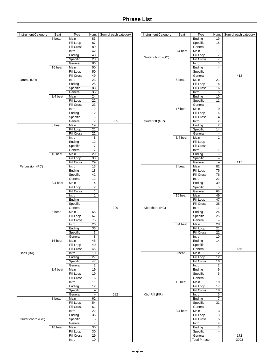| <b>Instrument Category</b> | Beat     | Type              | Num.                     | Sum of each category | <b>Instrument Category</b> | Beat     | Type                | Num.                     | Sum of each category |
|----------------------------|----------|-------------------|--------------------------|----------------------|----------------------------|----------|---------------------|--------------------------|----------------------|
|                            | 8 beat   | Main              | 83                       |                      |                            |          | Ending              | 19                       |                      |
|                            |          | <b>Fill Loop</b>  | 87                       |                      |                            |          | Specific            | 15                       |                      |
|                            |          | <b>Fill Cross</b> | 89                       |                      |                            |          | General             | $\overline{\phantom{m}}$ |                      |
|                            |          |                   |                          |                      |                            |          |                     |                          |                      |
|                            |          | Intro             | 42                       |                      |                            | 3/4 beat | Main                | 11                       |                      |
|                            |          | Ending            | 43                       |                      | Guitar chord (GC)          |          | Fill Loop           | 7                        |                      |
|                            |          | Specific          | $\overline{20}$          |                      |                            |          | <b>Fill Cross</b>   | $\overline{7}$           |                      |
|                            |          | General           | 86                       |                      |                            |          | Intro               | $\overline{3}$           |                      |
|                            | 16 beat  | Main              | 50                       |                      |                            |          | Ending              | $\overline{4}$           |                      |
|                            |          | <b>Fill Loop</b>  | 50                       |                      |                            |          | Specific            | $\overline{\phantom{0}}$ |                      |
|                            |          | <b>Fill Cross</b> | 49                       |                      |                            |          | General             | $\overline{\phantom{0}}$ | 412                  |
|                            |          |                   |                          |                      |                            |          |                     |                          |                      |
| Drums (DR)                 |          | Intro             | $\overline{23}$          |                      |                            | 8 beat   | Main                | 21                       |                      |
|                            |          | Ending            | $\overline{25}$          |                      |                            |          | Fill Loop           | 14                       |                      |
|                            |          | Specific          | 83                       |                      |                            |          | <b>Fill Cross</b>   | 16                       |                      |
|                            |          | General           | $\overline{35}$          |                      |                            |          | Intro               | 6                        |                      |
|                            | 3/4 beat | Main              | $\overline{24}$          |                      |                            |          | Ending              | 10                       |                      |
|                            |          | <b>Fill Loop</b>  | $\overline{22}$          |                      |                            |          | Specific            | 11                       |                      |
|                            |          | <b>Fill Cross</b> | $\overline{23}$          |                      |                            |          | General             | $\overline{\phantom{0}}$ |                      |
|                            |          |                   | 12                       |                      |                            |          | Main                | $\overline{9}$           |                      |
|                            |          | Intro             |                          |                      |                            | 16 beat  |                     |                          |                      |
|                            |          | Ending            | 12                       |                      |                            |          | Fill Loop           | $6\overline{}$           |                      |
|                            |          | Specific          | $\overline{\phantom{a}}$ |                      |                            |          | <b>Fill Cross</b>   | $\overline{4}$           |                      |
|                            |          | General           | $\overline{7}$           | 865                  | Guitar riff (GR)           |          | Intro               | $\overline{2}$           |                      |
|                            | 8 beat   | Main              | $\overline{19}$          |                      |                            |          | Ending              | $\overline{2}$           |                      |
|                            |          | Fill Loop         | $\overline{21}$          |                      |                            |          | Specific            | 14                       |                      |
|                            |          | <b>Fill Cross</b> | $\overline{22}$          |                      |                            |          | General             | $\overline{\phantom{a}}$ |                      |
|                            |          | Intro             | $\overline{8}$           |                      |                            | 3/4 beat | Main                | $\mathbf{1}$             |                      |
|                            |          | Ending            | 12                       |                      |                            |          | Fill Loop           | $\overline{\phantom{a}}$ |                      |
|                            |          | Specific          | $\overline{7}$           |                      |                            |          | <b>Fill Cross</b>   | $\overline{\phantom{a}}$ |                      |
|                            |          |                   |                          |                      |                            |          |                     |                          |                      |
|                            |          | General           | $\overline{17}$          |                      |                            |          | Intro               | $\mathbf{1}$             |                      |
|                            | 16 beat  | Main              | $\overline{29}$          |                      |                            |          | Ending              | $\overline{\phantom{0}}$ |                      |
|                            |          | <b>Fill Loop</b>  | 33                       |                      |                            |          | Specific            | $\overline{\phantom{0}}$ |                      |
|                            |          | <b>Fill Cross</b> | $\overline{29}$          |                      |                            |          | General             | $\overline{\phantom{0}}$ | 117                  |
| Percussion (PC)            |          | Intro             | 13                       |                      |                            | 8 beat   | Main                | 82                       |                      |
|                            |          | Ending            | $\overline{18}$          |                      |                            |          | Fill Loop           | 75                       |                      |
|                            |          | Specific          | 42                       |                      |                            |          | <b>Fill Cross</b>   | 76                       |                      |
|                            |          | General           | $\overline{12}$          |                      |                            |          | Intro               | $\overline{22}$          |                      |
|                            | 3/4 beat | Main              | 4                        |                      |                            |          | Ending              | 39                       |                      |
|                            |          | Fill Loop         | $\overline{2}$           |                      |                            |          | Specific            | $\overline{5}$           |                      |
|                            |          | Fill Cross        |                          |                      |                            |          |                     |                          |                      |
|                            |          |                   | $\mathbf{1}$             |                      |                            |          | General             | 68                       |                      |
|                            |          | Intro             | $\mathbf{1}$             |                      |                            | 16 beat  | Main                | 49                       |                      |
|                            |          | Ending            | $\overline{\phantom{a}}$ |                      |                            |          | Fill Loop           | $\overline{47}$          |                      |
|                            |          | Specific          | $\overline{\phantom{a}}$ |                      |                            |          | <b>Fill Cross</b>   | 35                       |                      |
|                            |          | General           | $\equiv$                 | 290                  | Kbd chord (KC)             |          | Intro               | $\overline{11}$          |                      |
|                            | 8 beat   | Main              | 65                       |                      |                            |          | Ending              | $\overline{26}$          |                      |
|                            |          | Fill Loop         | 67                       |                      |                            |          | Specific            | $\overline{25}$          |                      |
|                            |          | <b>Fill Cross</b> | 75                       |                      |                            |          | General             | $\overline{\phantom{m}}$ |                      |
|                            |          | Intro             | $\overline{26}$          |                      |                            | 3/4 beat | Main                | 28                       |                      |
|                            |          | Ending            | $\overline{36}$          |                      |                            |          | Fill Loop           | $\overline{21}$          |                      |
|                            |          | Specific          | $\overline{3}$           |                      |                            |          | <b>Fill Cross</b>   | $\overline{22}$          |                      |
|                            |          |                   |                          |                      |                            |          |                     |                          |                      |
|                            |          | General           | $\overline{8}$           |                      |                            |          | Intro               | 10                       |                      |
|                            | 16 beat  | Main              | 45                       |                      |                            |          | Ending              | 14                       |                      |
|                            |          | Fill Loop         | 40                       |                      |                            |          | Specific            | $\overline{\phantom{a}}$ |                      |
|                            |          | <b>Fill Cross</b> | 45                       |                      |                            |          | General             | $\overline{\phantom{a}}$ | 655                  |
| Bass (BA)                  |          | Intro             | $\overline{19}$          |                      |                            | 8 beat   | Main                | 12                       |                      |
|                            |          | Ending            | $\overline{27}$          |                      |                            |          | Fill Loop           | 12                       |                      |
|                            |          | Specific          | 47                       |                      |                            |          | <b>Fill Cross</b>   | 16                       |                      |
|                            |          | General           | $\overline{2}$           |                      |                            |          | Intro               | $\overline{2}$           |                      |
|                            | 3/4 beat | Main              | $\overline{19}$          |                      |                            |          | Ending              | 9                        |                      |
|                            |          | Fill Loop         | 19                       |                      |                            |          | Specific            | 6                        |                      |
|                            |          | <b>Fill Cross</b> | 16                       |                      |                            |          | General             | $\overline{\phantom{a}}$ |                      |
|                            |          | Intro             | 11                       |                      |                            | 16 beat  | Main                | 19                       |                      |
|                            |          |                   |                          |                      |                            |          |                     |                          |                      |
|                            |          | Ending            | $\overline{12}$          |                      |                            |          | Fill Loop           | 17                       |                      |
|                            |          | Specific          | $\overline{\phantom{a}}$ |                      |                            |          | Fill Cross          | 18                       |                      |
|                            |          | General           | $\overline{\phantom{a}}$ | 582                  | Kbd Riff (KR)              |          | Intro               | $\overline{5}$           |                      |
|                            | 8 beat   | Main              | 62                       |                      |                            |          | Ending              | $\overline{7}$           |                      |
|                            |          | Fill Loop         | 54                       |                      |                            |          | Specific            | 31                       |                      |
|                            |          | <b>Fill Cross</b> | 61                       |                      |                            |          | General             | $\overline{\phantom{a}}$ |                      |
|                            |          | Intro             | $\overline{22}$          |                      |                            | 3/4 beat | Main                | $\overline{3}$           |                      |
|                            |          | Ending            | $\overline{36}$          |                      |                            |          | Fill Loop           | $\overline{3}$           |                      |
| Guitar chord (GC)          |          | Specific          | 5                        |                      |                            |          | <b>Fill Cross</b>   | 5 <sup>5</sup>           |                      |
|                            |          | General           | $\overline{7}$           |                      |                            |          | Intro               | 4                        |                      |
|                            | 16 beat  | Main              | 30                       |                      |                            |          | Ending              | 3                        |                      |
|                            |          |                   |                          |                      |                            |          |                     |                          |                      |
|                            |          | Fill Loop         | 30                       |                      |                            |          | Specific            | $\overline{\phantom{0}}$ |                      |
|                            |          | <b>Fill Cross</b> | $\overline{29}$          |                      |                            |          | General             | $\overline{\phantom{0}}$ | 172                  |
|                            |          | Intro             | 10                       |                      |                            |          | <b>Total Phrase</b> |                          | 3093                 |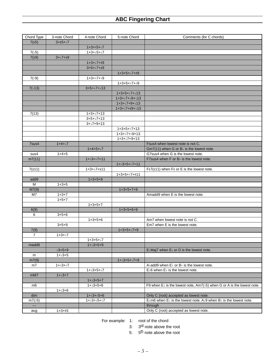| Chord Type       | 3-note Chord | 4-note Chord     | 5-note Chord        | Comments (for C chords)                                                                                       |
|------------------|--------------|------------------|---------------------|---------------------------------------------------------------------------------------------------------------|
| 7(15)            | $3+15+17$    |                  |                     |                                                                                                               |
|                  |              | $1+3+15+17$      |                     |                                                                                                               |
| $7(^{5}5)$       |              | $1+3+15+17$      |                     |                                                                                                               |
| 7(19)            | $3 + 7 + 9$  |                  |                     |                                                                                                               |
|                  |              | $1+3+17+19$      |                     |                                                                                                               |
|                  |              | $3+5+17+19$      |                     |                                                                                                               |
|                  |              |                  | $1+3+5+17+19$       |                                                                                                               |
| 7(19)            |              | $1+3+17+19$      |                     |                                                                                                               |
|                  |              |                  | $1+3+5+17+19$       |                                                                                                               |
| 7(.13)           |              | $3+5+17+13$      |                     |                                                                                                               |
|                  |              |                  | $1+3+5+17+13$       |                                                                                                               |
|                  |              |                  | $1+3+17+19+13$      |                                                                                                               |
|                  |              |                  | $1+3+17+9+13$       |                                                                                                               |
|                  |              |                  | $1+3+17+19+113$     |                                                                                                               |
| 7(13)            |              | $1+3+17+13$      |                     |                                                                                                               |
|                  |              | $3+5+17+13$      |                     |                                                                                                               |
|                  |              | $3 + 7 + 9 + 13$ |                     |                                                                                                               |
|                  |              |                  | $1+3+5+17+13$       |                                                                                                               |
|                  |              |                  | $1+3+17+19+13$      |                                                                                                               |
|                  |              |                  | $1+3+17+9+13$       |                                                                                                               |
| 7sus4            | $1+4+17$     |                  |                     | Fsus4 when lowest note is not C.                                                                              |
|                  |              | $1+4+5+17$       |                     | $Gm7(11)$ when G or B $\frac{1}{2}$ is the lowest note.                                                       |
| sus4             | $1 + 4 + 5$  |                  |                     | G7sus4 when G is the lowest note.                                                                             |
| m7(11)           |              | $1 + 3 + 7 + 11$ |                     | F7sus4 when F or B <sup><i>i</i></sup> is the lowest note.                                                    |
|                  |              |                  | $1+3+5+7+11$        |                                                                                                               |
| $7(\text{\#}11)$ |              | $1+3+17+11$      |                     | $F$ #7(#11) when $F$ # or E is the lowest note.                                                               |
|                  |              |                  | $1+3+5+17+11$       |                                                                                                               |
| add9             |              | $1+3+5+9$        |                     |                                                                                                               |
| M                | $1 + 3 + 5$  |                  |                     |                                                                                                               |
| M7(9)            |              |                  | $1+3+5+7+9$         |                                                                                                               |
| M7               | $1+3+7$      |                  |                     | Amadd9 when E is the lowest note.                                                                             |
|                  | $1+5+7$      |                  |                     |                                                                                                               |
|                  |              | $1+3+5+7$        |                     |                                                                                                               |
| 6(9)             |              |                  | $1+3+5+6+9$         |                                                                                                               |
| 6                | $3 + 5 + 6$  |                  |                     |                                                                                                               |
|                  |              | $1+3+5+6$        |                     | Am7 when lowest note is not C.                                                                                |
|                  | $3 + 5 + 9$  |                  |                     | Em7 when E is the lowest note.                                                                                |
| 7(9)             |              |                  | $1+3+5+17+9$        |                                                                                                               |
| $\overline{7}$   | $1+3+17$     |                  |                     |                                                                                                               |
|                  |              | $1+3+5+17$       |                     |                                                                                                               |
| madd9            |              | $1+3+5+9$        |                     |                                                                                                               |
|                  | $3 + 5 + 9$  |                  |                     | E Maj7 when E l or D is the lowest note.                                                                      |
| m                | $1 + 3 + 5$  |                  |                     |                                                                                                               |
| m7(9)            |              |                  | $1 + 3 + 5 + 7 + 9$ |                                                                                                               |
| m7               | $1 + 3 + 7$  |                  |                     | Aladd9 when El or Bl is the lowest note.                                                                      |
|                  |              | $1+3+5+7$        |                     | $E$ 6 when $E$ is the lowest note.                                                                            |
| mM7              | $1 + 3 + 7$  |                  |                     |                                                                                                               |
|                  |              | $1 + 3 + 5 + 7$  |                     |                                                                                                               |
| m6               |              | $1+3+5+6$        |                     | F9 when $E$ is the lowest note, Am7( $5$ ) when G or A is the lowest note.                                    |
|                  | $1 + 3 + 6$  |                  |                     |                                                                                                               |
| dim              |              | $1+3+5+6$        |                     | Only C (root) accepted as lowest note.                                                                        |
| $m7$ ( $5$ )     |              | $1 + 3 + 5 + 7$  |                     | E $\text{km}$ 6 when E $\text{km}$ is the lowest note. A $\text{km}$ 9 when B $\text{km}$ is the lowest note. |
| $\overline{a}$   |              |                  |                     | through                                                                                                       |
| aug              | $1+3+15$     |                  |                     | Only C (root) accepted as lowest note.                                                                        |

For example: 1: root of the chord

- 3: 3<sup>rd</sup> note above the root
- 5: 5<sup>th</sup> note above the root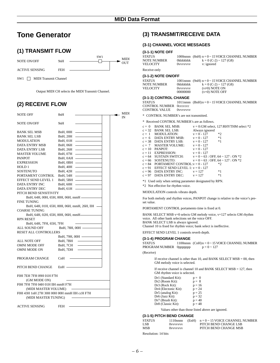## **Tone Generator**

## **(1) TRANSMIT FLOW**

NOTE ON/OFF 9nH ACTIVE SENSING FEH  $\frac{\text{SW1}}{\text{W}}$  MIDI OUT

SW1 MIDI Transmit Channel

Output MIDI CH selects the MIDI Transmit Channel.

## **(2) RECEIVE FLOW**

| NOTE OFF                                      | 8nH                           |                              | <b>MIDI</b><br>IN |
|-----------------------------------------------|-------------------------------|------------------------------|-------------------|
| <b>NOTE ON/OFF</b>                            | 9nH                           |                              |                   |
| <b>BANK SEL MSB</b>                           | $BnH$ , 00H $-$               |                              |                   |
| <b>BANK SEL LSB</b>                           | BnH, 20H —                    |                              |                   |
| <b>MODULATION</b>                             | BnH, $01H$ $\longrightarrow$  |                              |                   |
| DATA ENTRY MSB                                | BnH, 06H                      |                              |                   |
| DATA ENTRY LSB                                | BnH, $26H$ —                  |                              |                   |
| <b>MASTER VOLUME</b>                          | $BnH$ , 07H $\longrightarrow$ |                              |                   |
| <b>PANPOT</b>                                 | $BnH$ , $0AH$ —               |                              |                   |
| <b>EXPRESSION</b>                             | BnH, 0BH -                    |                              |                   |
| HOLD 1                                        | $BnH$ , 40H $\longrightarrow$ |                              |                   |
| <b>SOSTENUTO</b>                              | BnH, $42H$ –                  |                              |                   |
| PORTAMENT CONTROL BnH, 54H -                  |                               |                              |                   |
| EFFECT SEND LEVEL 1                           |                               |                              |                   |
| DATA ENTRY INC                                |                               | $BnH, 60H$ $\longrightarrow$ |                   |
| <b>DATA ENTRY DEC</b>                         | BnH, 61H                      |                              |                   |
| PITCH BEND SENSITIVITY                        |                               |                              |                   |
| BnH, 64H, 00H, 65H, 00H, 06H, mmH             |                               |                              |                   |
| <b>FINE TUNING</b>                            |                               |                              |                   |
| BnH, 64H, 01H, 65H, 00H, 06H, mmH, 26H, 1lH — |                               |                              |                   |
| <b>COARSE TUNING</b>                          |                               |                              |                   |
| BnH, 64H, 02H, 65H, 00H, 06H, mmH-            |                               |                              |                   |
| <b>RPN RESET</b>                              |                               |                              |                   |
| BnH, 64H, 7FH, 65H, 7FH                       |                               |                              |                   |
| ALL SOUND OFF                                 |                               | BnH, 78H, 00H -              |                   |
| RESET ALL CONTROLLERS                         |                               |                              |                   |
|                                               | BnH, 79H, 00H —               |                              |                   |
| ALL NOTE OFF                                  | BnH, 7BH                      |                              |                   |
| OMNI MODE OFF                                 | BnH, 7CH                      |                              |                   |
| OMNI MODE ON                                  | BnH, 7DH                      |                              |                   |
|                                               |                               |                              |                   |
| PROGRAM CHANGE                                | ChH                           |                              |                   |
| PITCH BEND CHANGE                             | $EnH$ —                       |                              |                   |
| F0H 7EH 7FH 09H 01H F7H                       |                               |                              |                   |
| (GM MODE ON)                                  |                               |                              |                   |
| F0H 7FH 7FH 04H 01H llH mmH F7H               |                               |                              |                   |
| (MIDI MASTER VOLUME)                          |                               |                              |                   |
| F0H 43H 1nH 27H 30H 00H 00H mmH 1IH ccH F7H   |                               |                              |                   |
| (MIDI MASTER TUNING)                          |                               |                              |                   |
|                                               |                               |                              |                   |
| <b>ACTIVE SENSING</b>                         | FEH                           |                              |                   |

## **(3) TRANSMIT/RECEIVE DATA**

## **(3-1) CHANNEL VOICE MESSAGES**

## **(3-1-1) NOTE OFF**

| <b>STATUS</b>      |                  | 1000nnn $(8nH)$ n = 0 ~ 15 VOICE CHANNEL NUMBER |
|--------------------|------------------|-------------------------------------------------|
| <b>NOTE NUMBER</b> | Okkkkkkk         | $k = 0$ (C-2) ~ 127 (G8)                        |
| <b>VELOCITY</b>    | 0 <i>vvvvvvv</i> | v: ignored                                      |

Receive-only

## **(3-1-2) NOTE ON/OFF**

| STATUS      |                   | 1001nnnn $(9nH)$ n = 0 ~ 15 VOICE CHANNEL NUMBER |
|-------------|-------------------|--------------------------------------------------|
| NOTE NUMBER | Okkkkkkk          | $k = 0$ (C-2) ~ 127 (G8)                         |
| VELOCITY-   | ( <i>byvvvvvv</i> | $(v\neq 0)$ NOTE ON                              |
|             | 00000000          | $(v=0)$ NOTE OFF                                 |
|             |                   |                                                  |

## **(3-1-3) CONTROL CHANGE**

STATUS 1011nnnn (BnH)n = 0 ~ 15 VOICE CHANNEL NUMBER CONTROL NUMBER 0ccccccc CONTROL VALUE 0vvvvvv

\* CONTROL NUMBER's are not transmitted.

\* Received CONTROL NUMBER's are as follows.

| $c = 0$ | BANK SEL MSB:                                                                 |                                         | $v = 0$ : GM select, 127: RHYTHM select *2 |
|---------|-------------------------------------------------------------------------------|-----------------------------------------|--------------------------------------------|
|         | $c = 32$ BANK SEL LSB:                                                        | Always ignored                          |                                            |
|         | $c = 1$ MODULATION:                                                           | $y = 0 - 127$ *2                        |                                            |
|         | $c = 6$ DATA ENTRY MSB:                                                       | $v = 0 - 127$ *1                        |                                            |
|         | $c = 38$ DATA ENTRY LSB: $v = 0 - 127$ *1                                     |                                         |                                            |
|         | $c = 7$ MASTER VOLUME: $v = 0 - 127$                                          |                                         |                                            |
|         | $c = 10$ PANPOT:                                                              | $v = 0 - 127$                           |                                            |
|         | $c = 11$ EXPRESSION:                                                          | $y = 0 - 127$                           |                                            |
|         | $c = 64$ SUSTAIN SWITCH: $v = 0 \approx 63$ : OFF, $64 \approx 127$ : ON $*2$ |                                         |                                            |
|         | $c = 66$ SOSTENUTO:                                                           | $y = 0 \sim 63$ : OFF, 64 ~ 127 : ON *2 |                                            |
|         | $c = 84$ PORTAMENT CONTROL: $v = 0 - 127$                                     |                                         | $*2$                                       |
|         | $c = 91$ EFFECT SEND LEVEL 1: $v = 0 - 127$                                   |                                         |                                            |
|         | $c = 96$ DATA ENTRY INC: $v = 127$                                            |                                         | $*1$                                       |
|         | $c = 97$ DATA ENTRY DEC: $v = 127$                                            |                                         | $*1$                                       |

\*1 Used only when setting parameter designated by RPN.

\*2 Not effective for rhythm voice.

MODULATION controls vibrato depth.

For both melody and rhythm voices, PANPOT change is relative to the voice's preset value.

PORTAMENT CONTROL portamento time is fixed at 0.

BANK SELECT MSB v=0 selects GM melody voice, v=127 selects GM rhythm voice. All other bank selections set the voice OFF. BANK SELECT LSB is always ignored.

Channel 10 is fixed for rhythm voice; bank select is ineffective.

EFFECT SEND LEVEL 1 controls reverb depth.

## **(3-1-4) PROGRAM CHANGE**

| <b>STATUS</b>           | 1100nnn $(ChH)n = 0 \sim 15$ VOICE CHANNEL NUMBER |
|-------------------------|---------------------------------------------------|
| PROGRAM NUMBER 0ppppppp | $p = 0 \sim 127$                                  |

(Receive)

If receive channel is other than 10, and BANK SELECT MSB = 00, then GM melody voice is selected.

If receive channel is channel 10 and BANK SELECT MSB = 127, then GM rhythm voice is selected.

| Dr1 (Standard Kit):         | $p = 0$  |
|-----------------------------|----------|
| Dr2 (Room Kit):             | $p = 8$  |
| Dr3 (Rock Kit):             | $p = 16$ |
| Dr4 (Electonic Kit):        | $p = 24$ |
| Dr5 (analog Kit):           | $p = 25$ |
| Dr <sub>6</sub> (Jazz Kit): | $p = 32$ |
| Dr7 (Brush Kit):            | $p = 40$ |
| Dr8 (Classic Kit):          | $p = 48$ |

Values other than those listed above are ignored.

#### **(3-1-5) PITCH BEND CHANGE**

| <b>STATUS</b>       | $1110$ nnnn      | (EnH) | $n = 0 \sim 15$ VOICE CHANNEL NUMBER |
|---------------------|------------------|-------|--------------------------------------|
| LSB.                | 0 <i>vvvvvvv</i> |       | PITCH BEND CHANGE LSB                |
| MSB                 | 0 <i>vvvvvvv</i> |       | PITCH BEND CHANGE MSB                |
| Resolution: 14 bits |                  |       |                                      |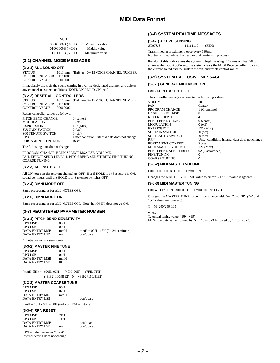| MSB                   |               |
|-----------------------|---------------|
| $00000000B$ ( $00H$ ) | Minimum value |
| 01000000B (40H)       | Middle value  |
| $01111111B$ (7FH)     | Maximum value |

## **(3-2) CHANNEL MODE MESSAGES**

## **(3-2-1) ALL SOUND OFF**

STATUS 1011nnnn (BnH)n = 0 ~ 15 VOICE CHANNEL NUMBER CONTROL NUMBER 01111000<br>CONTROL VALUE 00000000 CONTROL VALUE

Immediately shuts off the sound coming in over the designated channel, and deletes any channel-message conditions (NOTE ON, HOLD ON, etc.).

#### **(3-2-2) RESET ALL CONTROLLERS**

STATUS  $1011$ nnnn  $(BnH)$ n = 0 ~ 15 VOICE CHANNEL NUMBER CONTROL NUMBER 01111001<br>CONTROL VALUE 00000000 **CONTROL VALUE** 

#### Resets controller values as follows.

PITCH BEND CHANGE 0 (center)<br>MODULATION 0 (off) MODULATION 0 (off)<br>EXPRESSION 127 (Max) **EXPRESSION** SUSTAIN SWITCH 0 (off) SOSTENUTO SWITCH 0 (off) RPN Unset condition: internal data does not change PORTAMENT CONTROL Reset

The following data do not change.

PROGRAM CHANGE, BANK SELECT MSA/LSB, VOLUME, PAN. EFFECT SEND LEVEL 1, PITCH BEND SENSITIBITY, FINE TUNING, COARSE TUNING

## **(3-2-3) ALL NOTE OFF**

All ON notes on the relevant channel go OFF. But if HOLD 1 or Sustenuto is ON, sound continues until the HOLD 1 or Sustenuto switches OFF.

#### **(3-2-4) OMNI MODE OFF**

Same processing as for ALL NOTES OFF.

## **(3-2-5) OMNI MODE ON**

Same processing as for ALL NOTES OFF. Note that OMNI does not go ON.

## **(3-3) REGISTERED PARAMETER NUMBER**

## **(3-3-1) PITCH BEND SENSITIVITY**

| <b>RPN MSB</b> | 00H   |                                     |
|----------------|-------|-------------------------------------|
| RPN LSB        | 00H   |                                     |
| DATA ENTRY MSB | mmH   | $mmH = 00H - 18H (0 - 24$ semitone) |
| DATA ENTRY LSB | $---$ | don't care                          |
|                |       |                                     |

\* Initial value is 2 semitones.

## **(3-3-2) MASTER FINE TUNE**

| <b>RPN MSB</b>        | 00H  |
|-----------------------|------|
| <b>RPN LSB</b>        | 01H  |
| DATA ENTRY MSB        | mmH  |
| <b>DATA ENTRY LSB</b> | 11 H |
|                       |      |

 $(mmH, IHH) = (00H, 00H) - (40H, 00H) - (7FH, 7FH)$ (-8192\*100/8192) - 0 - (+8192\*100/8192)

## **(3-3-3) MASTER COARSE TUNE**

| 00H |            |
|-----|------------|
| 02H |            |
| mmH |            |
|     | don't care |
|     |            |

mmH = 28H - 40H - 58H (-24 - 0 - +24 semitone)

## **(3-3-4) RPN RESET**

|                | <b>RPN MSB</b> | 7FH |            |
|----------------|----------------|-----|------------|
| <b>RPN LSB</b> |                | 7FH |            |
|                | DATA ENTRY MSB |     | don't care |
|                | DATA ENTRY LSB | --- | don't care |
|                |                |     |            |

RPN number becomes "unset". Internal setting does not change.

## **(3-4) SYSTEM REALTIME MESSAGES**

#### **(3-4-1) ACTIVE SENSING**

| STATUS | 11111110 | (FEH) |
|--------|----------|-------|
|        |          |       |

Transmitted approximately once every 180ms. Not transmitted while disk read or disk write is in progress.

Receipt of this code causes the system to begin sensing. If status or data fail to arrive within about 500msec, the system clears the MIDI Receive buffer, forces off the current sound and the sustain switch, and resets control values.

## **(3-5) SYSTEM EXCLUSIVE MESSAGE**

## **(3-5-1) GENERAL MIDI MODE ON**

F0H 7EH 7FH 09H 01H F7H

The controller settings are reset to the following values:

| VOLUME                 | 100                                            |
|------------------------|------------------------------------------------|
| PAN                    | Center                                         |
| PROGRAM CHANGE         | 1 (Grandpno)                                   |
| BANK SELECT MSB        | $\Omega$                                       |
| REVERB DEPTH           | 4                                              |
| PITCH BEND CHANGE      | $0$ (center)                                   |
| MODULATION             | $0$ (off)                                      |
| EXPRESSION             | 127 (Max)                                      |
| SUSTAIN SWITCH         | $0$ (off)                                      |
| SOSTENUTO SWITCH       | $0$ (off)                                      |
| RPN                    | Unset condition: internal data does not change |
| PORTAMENT CONTROL      | Reset                                          |
| MIDI MASTER VOLUME     | 127 (Max)                                      |
| PITCH BEND SENSITIBITY | 02 (2 semitones)                               |
| FINE TUNING            | $\Omega$                                       |
| COARSE TUNING          |                                                |
|                        |                                                |

## **(3-5-2) MIDI MASTER VOLUME**

F0H 7FH 7FH 04H 01H llH mmH F7H

Changes the MASTER VOLUME value to "mm". (The "ll"value is ignored.)

## **(3-5-3) MIDI MASTER TUNING**

F0H 43H 1nH 27H 30H 00H 00H mmH llH ccH F7H

Changes the MASTER TUNE value in accordance with "mm" and "ll". ("n" and "cc" values are ignored.)

 $T = M*200/256-100$ 

where

T: Actual tuning value (–99 - +99)

M: Single byte value, formed by "mm" bits 0 -3 followed by "ll" bits 0 -3.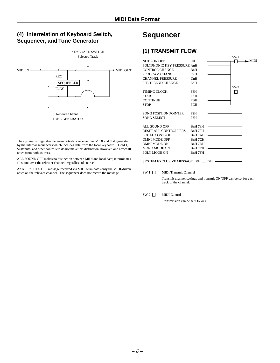## **(4) Interrelation of Keyboard Switch, Sequencer, and Tone Generator**



The system distinguishes between note data received via MIDI and that generated by the internal sequencer (which includes data from the local keyboard). Hold 1, Sustenuto, and other controllers do not make this distinction, however, and affect all notes from both sources.

ALL SOUND OFF makes no distinction between MIDI and local data; it terminates all sound over the relevant channel, regardless of source.

An ALL NOTES OFF message received via MIDI terminates only the MIDI-driven notes on the relevant channel. The sequencer does not record the message.

## **Sequencer**

## **(1) TRANSMIT FLOW**

|            | SW1                                                  |                                                                      |
|------------|------------------------------------------------------|----------------------------------------------------------------------|
| 9nH        |                                                      | $\blacksquare$ MIDI                                                  |
|            |                                                      |                                                                      |
| <b>BnH</b> |                                                      |                                                                      |
| CnH        |                                                      |                                                                      |
| DnH        |                                                      |                                                                      |
| EnH        |                                                      |                                                                      |
|            | SW <sub>2</sub>                                      |                                                                      |
| F8H        |                                                      |                                                                      |
| <b>FAH</b> |                                                      |                                                                      |
| <b>FBH</b> |                                                      |                                                                      |
| <b>FCH</b> |                                                      |                                                                      |
|            |                                                      |                                                                      |
| F2H        |                                                      |                                                                      |
| F3H        |                                                      |                                                                      |
|            |                                                      |                                                                      |
|            |                                                      |                                                                      |
| BnH 79H    |                                                      |                                                                      |
|            |                                                      |                                                                      |
| BnH 7CH    |                                                      |                                                                      |
|            |                                                      |                                                                      |
| BnH 7EH    |                                                      |                                                                      |
| BnH 7FH    |                                                      |                                                                      |
|            |                                                      |                                                                      |
|            |                                                      |                                                                      |
|            | POLYPHONIC KEY PRESSURE AnH<br>RESET ALL CONTROLLERS | BnH 78H<br>BnH 7AH<br>BnH 7DH<br>SYSTEM EXCLUSIVE MESSAGE F0H  F7H - |

SW 1 MIDI Transmit Channel

Transmit channel settings and transmit ON/OFF can be set for each track of the channel.

## SW 2 MIDI Control

Transmission can be set ON or OFF.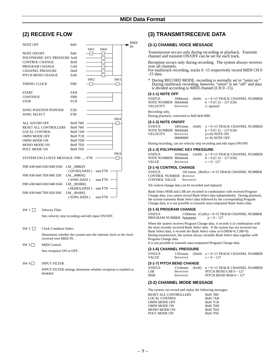MIDI IN

## **(2) RECEIVE FLOW**

| <b>NOTE OFF</b>                   | 8nH            |                 |         |                 |
|-----------------------------------|----------------|-----------------|---------|-----------------|
|                                   |                | SW1             | SW4     |                 |
| <b>NOTE ON/OFF</b>                | 9nH            | ⊣⊦              |         |                 |
| POLYPHONIC KEY PRESSURE AnH       |                |                 |         |                 |
| <b>CONTROL CHANGE</b>             | BnH            |                 |         |                 |
| PROGRAM CHANGE                    | CnH            |                 |         |                 |
| <b>CHANNEL PRESSURE</b>           | DnH            |                 |         |                 |
| PITCH BEND CHANGE                 | EnH            |                 |         |                 |
|                                   |                | SW <sub>2</sub> |         | SW <sub>3</sub> |
| <b>TIMING CLOCK</b>               | F8H            |                 |         |                 |
|                                   |                |                 |         |                 |
| <b>START</b>                      | <b>FAH</b>     |                 |         |                 |
| <b>CONTINUE</b>                   | <b>FBH</b>     |                 |         |                 |
| <b>STOP</b>                       | <b>FCH</b>     |                 |         |                 |
|                                   |                |                 |         |                 |
| <b>SONG POSITION POINTER</b>      | F2H            |                 |         |                 |
| <b>SONG SELECT</b>                | F3H            |                 |         |                 |
|                                   |                |                 |         | SW <sub>4</sub> |
| <b>ALL SOUND OFF</b>              | <b>BnH 78H</b> |                 |         |                 |
| RESET ALL CONTROLLERS             | <b>BnH 79H</b> |                 |         |                 |
| <b>LOCAL CONTROL</b>              | BnH 7AH        |                 |         |                 |
| <b>OMNI MODE OFF</b>              | BnH 7CH        |                 |         |                 |
| <b>OMNI MODE ON</b>               | BnH 7DH        |                 |         |                 |
| <b>MONO MODE ON</b>               | BnH 7EH        |                 |         |                 |
| POLY MODE ON                      | BnH 7FH        |                 |         |                 |
|                                   |                |                 |         | SW <sub>4</sub> |
| SYSTEM EXCLUSIVE MESSAGE F0H  F7H |                |                 |         |                 |
|                                   |                |                 |         |                 |
| F0H 43H 0nH 0AH 04H 0AH           | LM_0086QY      |                 |         |                 |
|                                   | (QYSEQ DATA)   |                 | sum F7H |                 |
| F0H 43H 0nH 7EH 04H 32H           | LM 0086SO      |                 |         |                 |
|                                   | (SONG DATA)    |                 | sum F7H |                 |
| F0H 43H 0nH 0AH 04H 0AH           | LM 0018HO      |                 |         |                 |
|                                   | (HQSEQ DATA)   |                 | sum F7H |                 |
| F0H 43H 0nH 7EH 02H 56H           | LM 0018SO      |                 |         |                 |
|                                   | (SONG DATA)    |                 | sum F7H |                 |

SW 1 Velocity Filter

Sets velocity step recording and edit input ON/OFF.

SW 2  $\Box$  Clock Condition Select

Determines whether the system uses the internal clock or the clock received over MIDI IN.

SW 3 MIDI Control

Sets reception ON or OFF.

SW 4 **INPUT FILTER** 

INPUT FILTER settings determine whether reception is enabled or disabled.

## **(3) TRANSMIT/RECEIVE DATA**

## **(3-1) CHANNEL VOICE MESSAGE**

Transmission occurs only during recording or playback. Transmit channel and transmit ON/OFF can be set for each track.

Reception occurs only during recording. The system always receives over all channels.

For multitrack recording, tracks 0 -15 respectively record MIDI CH 0 -15 data.

\* During RECORD MODE, recording is normally set to "omni on." During multitrack recording, however, "omni" is set "off" and data is divided according to MIDI channel (CH 0 -15).

#### **(3-1-1) NOTE OFF**

| STATUS               | $1000$ nnnn      | $(8nH)$ $n = 0$ ~15 TRACK CHANNEL NUMBER |
|----------------------|------------------|------------------------------------------|
| NOTE NUMBER 0kkkkkkk |                  | $k = 0$ (C-2) ~ 127 (G8)                 |
| VELOCITY             | 0 <i>vvvvvvv</i> | v: ignored                               |

Recording only.

During playback, converted to 9nH kkH 00H.

## **(3-1-2) NOTE ON/OFF**

| $1001$ nnnn          | $(9nH)$ $n = 0 \sim 15$ TRACK CHANNEL NUMBER |
|----------------------|----------------------------------------------|
| NOTE NUMBER 0kkkkkkk | $k = 0$ (C-2) ~ 127 (G8)                     |
| ( <i>byvvvvvv</i>    | $(v\neq 0)$ NOTE ON                          |
| 00000000             | $(v=0)$ NOTE OFF                             |
|                      |                                              |

During recording, can set velocity step recording and edit input ON/OFF.

## **(3-1-3) POLYPHONIC KEY PRESSURE**

| STATUS               | $1010$ nnnn      | $(AnH)$ $n = 0~15$ TRACK CHANNEL NUMBER |
|----------------------|------------------|-----------------------------------------|
| NOTE NUMBER 0kkkkkkk |                  | $k = 0$ (C-2) ~ 127 (G8)                |
| VALUE                | 0 <i>vvvvvvv</i> | $v = 0 - 127$                           |

#### **(3-1-4) CONTROL CHANGE**

STATUS 1011nnnn (BnH)n = 0~15 TRACK CHANNEL NUMBER<br>CONTROL NUMBER 0ccccccc CONTROL NUMBER CONTROL VALUE 0vvvvvvv

All control-change data can be recorded and replayed.

Bank Select MSB and LSB are recorded in combination with received Program Change data; you cannot record Bank Select data independently. During playback, the system transmits Bank Select data followed by the corresponding Program Change data; it is not possible to transmit unaccompanied Bank Select data.

#### **(3-1-5) PROGRAM CHANGE**

STATUS 1100nnnn  $(CnH)n = 0~15$  TRACK CHANNEL NUMBER<br>PROGRAM NUMBER 0ppppppp  $p = 0 ~127$ PROGRAM NUMBER 0ppppppp

When the system receives Program Change data, it records it in combination with the most recently received Bank Select data. If the system has not received any Bank Select data, it records the Bank Select value as 0 (MSB=0, LSB=0). During transmission, the system always includes Bank Select data together with Program Change data.

It is not possible to transmit unaccompanied Program Change data.

## **(3-1-6) CHANNEL PRESSURE**

| STATUS |                  | 1101nnn (DnH) $n = 0 \sim 15$ TRACK CHANNEL NUMBER |
|--------|------------------|----------------------------------------------------|
| VALUE  | 0 <i>vvvvvvv</i> | $v = 0 \sim 127$                                   |

#### **(3-1-7) PITCH BEND CHANGE**

| $\sim$ $\sim$ |                   |                                         |
|---------------|-------------------|-----------------------------------------|
| <b>STATUS</b> | $1110$ nnnn       | $(EnH)$ $n = 0~15$ TRACK CHANNEL NUMBER |
| LSB           | ( <i>byvvvvvv</i> | PITCH BEND LSB $0 \sim 127$             |
| <b>MSB</b>    | 0 <i>vvvvvvv</i>  | PITCH BEND MSB $0 \sim 127$             |

## **(3-2) CHANNEL MODE MESSAGE**

The system can record and replay the following messages.

| RESET ALL CONTROLLERS | BnH 78H |
|-----------------------|---------|
| LOCAL CONTROL         | BnH 7AH |
| OMNI MODE OFF         | BnH 7CH |
| OMNI MODE ON          | BnH 7DH |
| MONO MODE ON          | BnH 7EH |
| POLY MODE ON          | BnH 7FH |
|                       |         |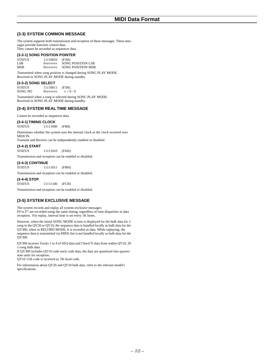## **(3-3) SYSTEM COMMON MESSAGE**

The system supports both transmission and reception of these messages. These messages provide function control data.

They cannot be recorded as sequencer data.

## **(3-3-1) SONG POSITION POINTER**

STATUS 11110010 (F2H)<br>LSB 0vvvvvvv SONG SONG POSITION LSB MSB 0vvvvvvv SONG POSITION MSB

Transmitted when song position is changed during SONG PLAY MODE. Received in SONG PLAY MODE during standby.

## **(3-3-2) SONG SELECT**

STATUS  $11110011$  (F3H)<br>SONG NO 0vvvvvvv  $v = 0 - 9$ SONG NO 0vvvvvvv

Transmitted when a song is selected during SONG PLAY MODE. Received in SONG PLAY MODE during standby.

## **(3-4) SYSTEM REAL TIME MESSAGE**

Cannot be recorded as sequencer data.

## **(3-4-1) TIMING CLOCK**

STATUS 11111000 (F8H)

Determines whether the system uses the internal clock or the clock received over MIDI IN.

Transmit and Receive can be independently enabled or disabled.

## **(3-4-2) START**

STATUS 11111010 (FAH)

Transmission and reception can be enabled or disabled.

## **(3-4-3) CONTINUE**

STATUS 11111011 (FBH)

Transmission and reception can be enabled or disabled.

## **(3-4-4) STOP**

STATUS 11111100 (FCH)

Transmission and reception can be enabled or disabled.

## **(3-5) SYSTEM EXCLUSIVE MESSAGE**

The system records and replay all system-exclusive messages. F0 to F7 are recorded using the same timing, regardless of time disparities in data reception. For replay, interval time is set every 1K bytes.

However, when the initial SONG MODE screen is displayed for the bulk data for 1 song in the QY20 or QY10, the sequence data is handled locally as bulk data for the QY300, when in RECORD MODE, it is recorded as data. While replaying, the sequence data is transmitted via MIDI, but is not handled locally as bulk data for the QY300.

QY300 receives Tracks 1 to 4 of SEQ data and Chord Tr data from within QY10, 20 1-song bulk data.

If QY300 includes QY10 code track code data, the data are quantized into quarternote units for reception.

QY10 11th code is received as 7th Sus4 code.

For information about QY20 and QY10 bulk data. refer to the relevant model's specifications.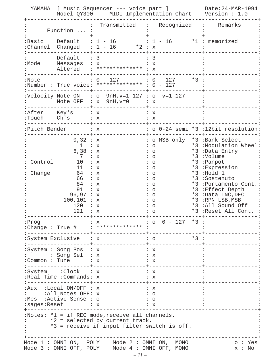| YAMAHA                                                                                                                              |                                                                                                                       |                                                                                                                                                            | [ Music Sequencer --- voice part ] Date:24-MAR-1994<br>Model QY300 MIDI Implementation Chart Version: 1.0                                                                |  |                                                                                                                                                                                                                                                            |
|-------------------------------------------------------------------------------------------------------------------------------------|-----------------------------------------------------------------------------------------------------------------------|------------------------------------------------------------------------------------------------------------------------------------------------------------|--------------------------------------------------------------------------------------------------------------------------------------------------------------------------|--|------------------------------------------------------------------------------------------------------------------------------------------------------------------------------------------------------------------------------------------------------------|
|                                                                                                                                     | Function  :                                                                                                           | Transmitted : Recognized : Remarks                                                                                                                         |                                                                                                                                                                          |  |                                                                                                                                                                                                                                                            |
|                                                                                                                                     |                                                                                                                       | $:Basic$ Default : $1 - 16$ : $1 - 16$ *1 : memorized<br>: Channel Changed : $1 - 16$ *2 : x                                                               |                                                                                                                                                                          |  |                                                                                                                                                                                                                                                            |
| :Mode                                                                                                                               | Default : 3<br>Messages : x                                                                                           | Altered : ************** : x                                                                                                                               | - 3<br>: x                                                                                                                                                               |  |                                                                                                                                                                                                                                                            |
| :Note                                                                                                                               |                                                                                                                       | $: 0 - 127$ $: 0 - 127$ $*3$ :<br>:Number : True voice: ************* : 0 - 127                                                                            |                                                                                                                                                                          |  |                                                                                                                                                                                                                                                            |
|                                                                                                                                     |                                                                                                                       | :Velocity Note ON $\; : \; \circ \;$ 9nH,v=1-127 $: \; \circ \;$ v=1-127<br>Note OFF : $x$ 9nH, $v=0$ : $x$                                                |                                                                                                                                                                          |  |                                                                                                                                                                                                                                                            |
|                                                                                                                                     | :After Key's : x<br>:Touch $Ch's$ : x                                                                                 | -------+----------------+                                                                                                                                  | X<br>: x                                                                                                                                                                 |  |                                                                                                                                                                                                                                                            |
|                                                                                                                                     | Pitch Bender : x                                                                                                      |                                                                                                                                                            |                                                                                                                                                                          |  | : o 0-24 semi *3 :12bit resolution:                                                                                                                                                                                                                        |
| Control<br>Change                                                                                                                   | 0,32 : x<br>1 : x<br>6,38 : x<br>7<br>10<br>11<br>64<br>66<br>84<br>91<br>96,97 : x<br>100, 101 : x<br>120<br>121 : x | $\cdot$ $\cdot$ $\cdot$ $\cdot$<br>: x<br>: x<br>$\cdot \cdot \cdot$ x<br>: x<br>: x<br>$\mathbb{R}^n$ : $\mathbb{R}^n$<br>$\mathbb{R}^n$ : $\mathbb{R}^n$ | : o MSB only *3 : Bank Select<br>$\circ$<br>$\circ$<br>$\circ$<br>$\circ$<br>$\circ$<br>$\circ$<br>$\circ$<br>$\circ$<br>$\circ$<br>$\circ$<br>O<br>$\circ$<br>$\cdot$ 0 |  | *3 :Modulation Wheel:<br>*3 :Data Entry<br>*3:Volume<br>*3 :Panpot<br>*3 : Expression<br>$*3$ : Hold 1<br>*3:Sostenuto<br>*3: Portamento Cont.<br>*3 : Effect Depth<br>*3 :Data INC, DEC<br>*3 :RPN LSB, MSB<br>*3 :All Sound Off<br>*3 :Reset All Cont. : |
|                                                                                                                                     |                                                                                                                       | : Prog<br>: Change : True # : ************* :<br>: Change : True # : ************* :                                                                       |                                                                                                                                                                          |  |                                                                                                                                                                                                                                                            |
|                                                                                                                                     | :System Exclusive : x                                                                                                 |                                                                                                                                                            | $*3:$<br>$\cdot$ 0                                                                                                                                                       |  |                                                                                                                                                                                                                                                            |
|                                                                                                                                     | :System : Song Pos : x<br>: : Song Sel : x<br>: Common : Tune : $x$<br>:System :Clock : x                             |                                                                                                                                                            | $\colon$ $\mathbf{x}$<br>∶ x<br>$\colon$ x<br>: x                                                                                                                        |  |                                                                                                                                                                                                                                                            |
|                                                                                                                                     | :Real Time :Commands: x                                                                                               |                                                                                                                                                            | $\mathbf{X}$ :                                                                                                                                                           |  |                                                                                                                                                                                                                                                            |
|                                                                                                                                     | : $Aux$ : Local ON/OFF : $x$<br>: :All Notes OFF: x<br>:Mes- :Active Sense : o<br>:sages:Reset : x                    |                                                                                                                                                            | : x<br>$\colon$ 0<br>$\colon$ $\circ$<br>∶ x                                                                                                                             |  |                                                                                                                                                                                                                                                            |
| :Notes: $*1 = if$ REC mode, receive all channels.<br>*2 = selected by current track.<br>*3 = receive if input filter switch is off. |                                                                                                                       |                                                                                                                                                            |                                                                                                                                                                          |  |                                                                                                                                                                                                                                                            |
| Mode 1 : OMNI ON, POLY Mode 2 : OMNI ON, MONO<br>o : Yes<br>Mode 3 : OMNI OFF, POLY Mode 4 : OMNI OFF, MONO<br>x : No               |                                                                                                                       |                                                                                                                                                            |                                                                                                                                                                          |  |                                                                                                                                                                                                                                                            |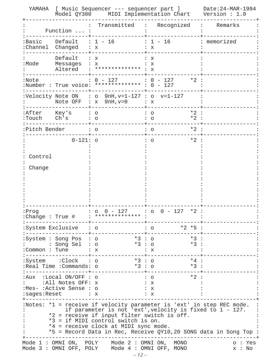| YAMAHA                                                                                                                                                                                                                                                                                                                              |                                                                                                 | [ Music Sequencer --- sequencer part ]<br>Model QY300 MIDI Implementation Chart Version : 1.0 | Date: 24-MAR-1994                            |             |  |
|-------------------------------------------------------------------------------------------------------------------------------------------------------------------------------------------------------------------------------------------------------------------------------------------------------------------------------------|-------------------------------------------------------------------------------------------------|-----------------------------------------------------------------------------------------------|----------------------------------------------|-------------|--|
|                                                                                                                                                                                                                                                                                                                                     | Function  :                                                                                     | Transmitted                                                                                   | Recognized                                   | Remarks     |  |
| :Basic                                                                                                                                                                                                                                                                                                                              | Default<br>:Channel Changed                                                                     | $: 1 - 16$<br>: x                                                                             | $: 1 - 16$<br>: x                            | : memorized |  |
| :Mode                                                                                                                                                                                                                                                                                                                               | Default<br>Messages : x<br>Altered                                                              | : x<br>$:$ ************** : $X$                                                               | X<br>$\mathbf{x}$                            |             |  |
| :Note                                                                                                                                                                                                                                                                                                                               |                                                                                                 | 0 - 127<br>:Number : True voice: ************* : 0 - 127                                      | $: 0 - 127$<br>$*2$                          |             |  |
|                                                                                                                                                                                                                                                                                                                                     |                                                                                                 | :Velocity Note ON : o $9nH, v=1-127$ : o $v=1-127$<br>Note OFF : $x$ 9nH, $v=0$               | X                                            |             |  |
| :After<br>:Touch Ch's                                                                                                                                                                                                                                                                                                               | Key's                                                                                           | $\circ$<br>$\bigcirc$                                                                         | $*2$<br>O<br>$*2$<br>$\circ$                 |             |  |
| Pitch Bender                                                                                                                                                                                                                                                                                                                        |                                                                                                 |                                                                                               | $*2$<br>$\Omega$                             |             |  |
|                                                                                                                                                                                                                                                                                                                                     | $0 - 121:$ o                                                                                    |                                                                                               | $*2$<br>O                                    |             |  |
| Control                                                                                                                                                                                                                                                                                                                             |                                                                                                 |                                                                                               |                                              |             |  |
| Change                                                                                                                                                                                                                                                                                                                              |                                                                                                 |                                                                                               |                                              |             |  |
|                                                                                                                                                                                                                                                                                                                                     |                                                                                                 |                                                                                               |                                              |             |  |
|                                                                                                                                                                                                                                                                                                                                     |                                                                                                 |                                                                                               |                                              |             |  |
|                                                                                                                                                                                                                                                                                                                                     |                                                                                                 |                                                                                               |                                              |             |  |
| . Fr.og                                                                                                                                                                                                                                                                                                                             | :Change : True #                                                                                | $\therefore$ 0 0 - 127 $\therefore$ 0 0 - 127 $*2$<br><u>:</u> ************** :               |                                              |             |  |
|                                                                                                                                                                                                                                                                                                                                     | :System Exclusive : o                                                                           |                                                                                               | $*2$ $*5$<br>∶ ○                             |             |  |
|                                                                                                                                                                                                                                                                                                                                     | :System : Song Pos : o<br>: Song Sel : o                                                        | ---+----------------+-<br>*3 : 0<br>$*3:$ 0                                                   | *3 :<br>$*3:$                                |             |  |
|                                                                                                                                                                                                                                                                                                                                     | : Common : Tune $: x$                                                                           |                                                                                               | : x                                          |             |  |
|                                                                                                                                                                                                                                                                                                                                     | :System :Clock : o<br>Real Time : Commands: o:                                                  | *3 : 0<br>$*3:0$                                                                              | *4 :<br>$*3:$                                |             |  |
|                                                                                                                                                                                                                                                                                                                                     | :Aux $:$ Local ON/OFF $:$ o<br>:All Notes OFF: x<br>:Mes- :Active Sense : o<br>:sages:Reset : x |                                                                                               | *2 :<br>$\cdot$ $\circ$<br>: x<br>∶ x<br>: x |             |  |
| :Notes: *1 = receive if velocity parameter is 'ext' in step REC mode.<br>if parameter is not 'ext', velocity is fixed to 1 - 127.<br>*2 = receive if input filter switch is off.<br>*3 = if MIDI control switch is on.<br>*4 = receive clock at MIDI sync mode.<br>*5 = Record Data in Rec, Receive QY10,20 SONG data in Song Top : |                                                                                                 |                                                                                               |                                              |             |  |
| Mode 1 : OMNI ON, POLY Mode 2 : OMNI ON, MONO<br>o : Yes<br>Mode 3 : OMNI OFF, POLY Mode 4 : OMNI OFF, MONO<br>x : No<br>$-12-$                                                                                                                                                                                                     |                                                                                                 |                                                                                               |                                              |             |  |